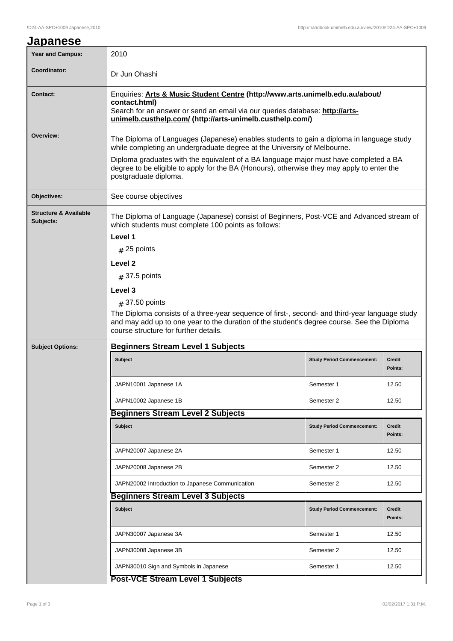| <u>Japanese</u>                               |                                                                                                                                                                                                                                                               |                                   |                          |  |  |
|-----------------------------------------------|---------------------------------------------------------------------------------------------------------------------------------------------------------------------------------------------------------------------------------------------------------------|-----------------------------------|--------------------------|--|--|
| <b>Year and Campus:</b>                       | 2010                                                                                                                                                                                                                                                          |                                   |                          |  |  |
| Coordinator:                                  | Dr Jun Ohashi                                                                                                                                                                                                                                                 |                                   |                          |  |  |
| <b>Contact:</b>                               | Enquiries: Arts & Music Student Centre (http://www.arts.unimelb.edu.au/about/<br>contact.html)<br>Search for an answer or send an email via our queries database: http://arts-<br>unimelb.custhelp.com/ (http://arts-unimelb.custhelp.com/)                   |                                   |                          |  |  |
| Overview:                                     | The Diploma of Languages (Japanese) enables students to gain a diploma in language study<br>while completing an undergraduate degree at the University of Melbourne.<br>Diploma graduates with the equivalent of a BA language major must have completed a BA |                                   |                          |  |  |
|                                               | degree to be eligible to apply for the BA (Honours), otherwise they may apply to enter the<br>postgraduate diploma.                                                                                                                                           |                                   |                          |  |  |
| Objectives:                                   | See course objectives                                                                                                                                                                                                                                         |                                   |                          |  |  |
| <b>Structure &amp; Available</b><br>Subjects: | The Diploma of Language (Japanese) consist of Beginners, Post-VCE and Advanced stream of<br>which students must complete 100 points as follows:<br>Level 1<br>$#$ 25 points                                                                                   |                                   |                          |  |  |
|                                               |                                                                                                                                                                                                                                                               |                                   |                          |  |  |
|                                               | Level <sub>2</sub><br>$#$ 37.5 points                                                                                                                                                                                                                         |                                   |                          |  |  |
|                                               | Level 3                                                                                                                                                                                                                                                       |                                   |                          |  |  |
|                                               | $\#$ 37.50 points                                                                                                                                                                                                                                             |                                   |                          |  |  |
|                                               | The Diploma consists of a three-year sequence of first-, second- and third-year language study<br>and may add up to one year to the duration of the student's degree course. See the Diploma<br>course structure for further details.                         |                                   |                          |  |  |
| <b>Subject Options:</b>                       | <b>Beginners Stream Level 1 Subjects</b>                                                                                                                                                                                                                      |                                   |                          |  |  |
|                                               | <b>Subject</b>                                                                                                                                                                                                                                                | <b>Study Period Commencement:</b> | <b>Credit</b><br>Points: |  |  |
|                                               | JAPN10001 Japanese 1A                                                                                                                                                                                                                                         | Semester 1                        | 12.50                    |  |  |
|                                               | JAPN10002 Japanese 1B                                                                                                                                                                                                                                         | Semester 2                        | 12.50                    |  |  |
| <b>Beginners Stream Level 2 Subjects</b>      |                                                                                                                                                                                                                                                               |                                   |                          |  |  |
|                                               | Subject                                                                                                                                                                                                                                                       | <b>Study Period Commencement:</b> | Credit<br>Points:        |  |  |
|                                               | JAPN20007 Japanese 2A                                                                                                                                                                                                                                         | Semester 1                        | 12.50                    |  |  |
|                                               | JAPN20008 Japanese 2B                                                                                                                                                                                                                                         | Semester 2                        | 12.50                    |  |  |
|                                               | JAPN20002 Introduction to Japanese Communication                                                                                                                                                                                                              | Semester 2                        | 12.50                    |  |  |
|                                               | <b>Beginners Stream Level 3 Subjects</b>                                                                                                                                                                                                                      |                                   |                          |  |  |
|                                               | <b>Subject</b>                                                                                                                                                                                                                                                | <b>Study Period Commencement:</b> | <b>Credit</b><br>Points: |  |  |
|                                               | JAPN30007 Japanese 3A                                                                                                                                                                                                                                         | Semester 1                        | 12.50                    |  |  |
|                                               | JAPN30008 Japanese 3B                                                                                                                                                                                                                                         | Semester 2                        | 12.50                    |  |  |
|                                               | JAPN30010 Sign and Symbols in Japanese                                                                                                                                                                                                                        | Semester 1                        | 12.50                    |  |  |
|                                               |                                                                                                                                                                                                                                                               |                                   |                          |  |  |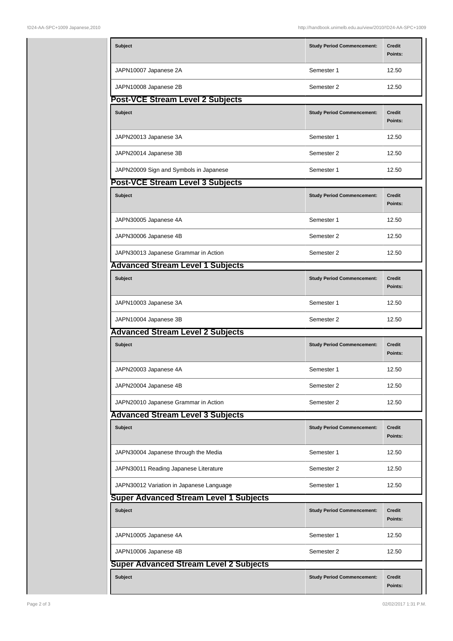| <b>Subject</b>                                | <b>Study Period Commencement:</b> | <b>Credit</b><br>Points: |  |  |
|-----------------------------------------------|-----------------------------------|--------------------------|--|--|
| JAPN10007 Japanese 2A                         | Semester 1                        | 12.50                    |  |  |
| JAPN10008 Japanese 2B                         | Semester 2                        | 12.50                    |  |  |
| Post-VCE Stream Level 2 Subjects              |                                   |                          |  |  |
| Subject                                       | <b>Study Period Commencement:</b> | <b>Credit</b><br>Points: |  |  |
| JAPN20013 Japanese 3A                         | Semester 1                        | 12.50                    |  |  |
| JAPN20014 Japanese 3B                         | Semester 2                        | 12.50                    |  |  |
| JAPN20009 Sign and Symbols in Japanese        | Semester 1                        | 12.50                    |  |  |
| <b>Post-VCE Stream Level 3 Subjects</b>       |                                   |                          |  |  |
| <b>Subject</b>                                | <b>Study Period Commencement:</b> | Credit<br>Points:        |  |  |
| JAPN30005 Japanese 4A                         | Semester 1                        | 12.50                    |  |  |
| JAPN30006 Japanese 4B                         | Semester 2                        | 12.50                    |  |  |
| JAPN30013 Japanese Grammar in Action          | Semester 2                        | 12.50                    |  |  |
| <b>Advanced Stream Level 1 Subjects</b>       |                                   |                          |  |  |
| <b>Subject</b>                                | <b>Study Period Commencement:</b> | <b>Credit</b><br>Points: |  |  |
| JAPN10003 Japanese 3A                         | Semester 1                        | 12.50                    |  |  |
| JAPN10004 Japanese 3B                         | Semester 2                        | 12.50                    |  |  |
| <b>Advanced Stream Level 2 Subjects</b>       |                                   |                          |  |  |
| <b>Subject</b>                                | <b>Study Period Commencement:</b> | <b>Credit</b><br>Points: |  |  |
| JAPN20003 Japanese 4A                         | Semester 1                        | 12.50                    |  |  |
| JAPN20004 Japanese 4B                         | Semester 2                        | 12.50                    |  |  |
| JAPN20010 Japanese Grammar in Action          | Semester 2                        | 12.50                    |  |  |
| <b>Advanced Stream Level 3 Subjects</b>       |                                   |                          |  |  |
| <b>Subject</b>                                | <b>Study Period Commencement:</b> | Credit<br>Points:        |  |  |
| JAPN30004 Japanese through the Media          | Semester 1                        | 12.50                    |  |  |
| JAPN30011 Reading Japanese Literature         | Semester 2                        | 12.50                    |  |  |
| JAPN30012 Variation in Japanese Language      | Semester 1                        | 12.50                    |  |  |
| <b>Super Advanced Stream Level 1 Subjects</b> |                                   |                          |  |  |
| <b>Subject</b>                                | <b>Study Period Commencement:</b> | Credit<br>Points:        |  |  |
| JAPN10005 Japanese 4A                         | Semester 1                        | 12.50                    |  |  |
| JAPN10006 Japanese 4B                         | Semester 2                        | 12.50                    |  |  |
| <b>Super Advanced Stream Level 2 Subjects</b> |                                   |                          |  |  |
| <b>Subject</b>                                | <b>Study Period Commencement:</b> | Credit<br>Points:        |  |  |